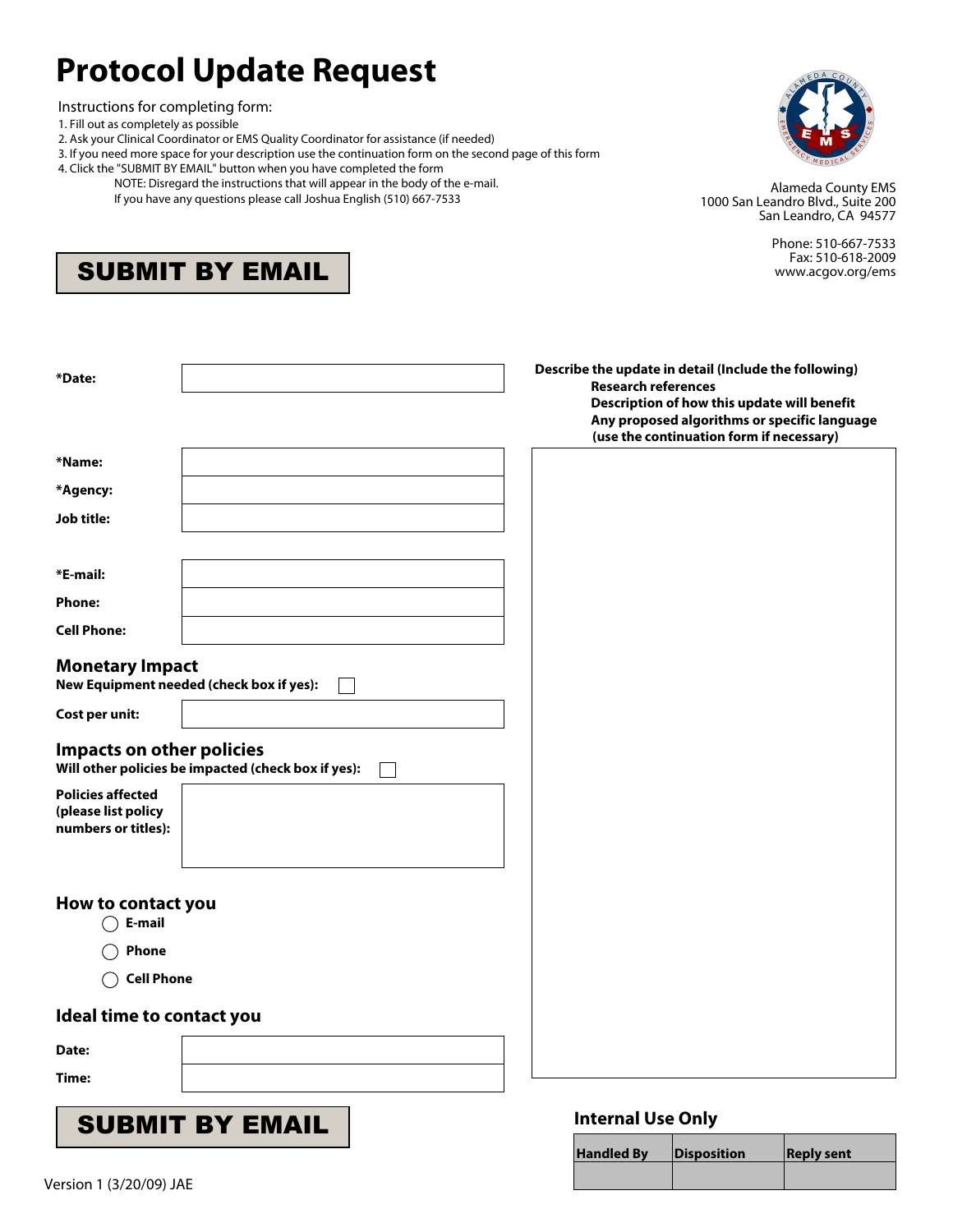## **Protocol Update Request**

Instructions for completing form:

- 1. Fill out as completely as possible
- 2. Ask your Clinical Coordinator or EMS Quality Coordinator for assistance (if needed)
- 3. If you need more space for your description use the continuation form on the second page of this form
- 4. Click the "SUBMIT BY EMAIL" button when you have completed the form
	- NOTE: Disregard the instructions that will appear in the body of the e-mail. If you have any questions please call Joshua English (510) 667-7533



Alameda County EMS 1000 San Leandro Blvd., Suite 200 San Leandro, CA 94577

**Handled By Disposition Reply sent**

Phone: 510-667-7533 Fax: 510-618-2009 www.acgov.org/ems

| *Date:                                                                           | Describe the update in detail (Include the following)<br><b>Research references</b>                                                     |
|----------------------------------------------------------------------------------|-----------------------------------------------------------------------------------------------------------------------------------------|
|                                                                                  | Description of how this update will benefit<br>Any proposed algorithms or specific language<br>(use the continuation form if necessary) |
| *Name:                                                                           |                                                                                                                                         |
| *Agency:                                                                         |                                                                                                                                         |
| Job title:                                                                       |                                                                                                                                         |
|                                                                                  |                                                                                                                                         |
| *E-mail:                                                                         |                                                                                                                                         |
| <b>Phone:</b>                                                                    |                                                                                                                                         |
| <b>Cell Phone:</b>                                                               |                                                                                                                                         |
| <b>Monetary Impact</b><br>New Equipment needed (check box if yes):               |                                                                                                                                         |
| Cost per unit:                                                                   |                                                                                                                                         |
| Impacts on other policies<br>Will other policies be impacted (check box if yes): |                                                                                                                                         |
| <b>Policies affected</b><br>(please list policy<br>numbers or titles):           |                                                                                                                                         |
| How to contact you<br>○ E-mail<br><b>Phone</b>                                   |                                                                                                                                         |
| <b>Cell Phone</b>                                                                |                                                                                                                                         |
|                                                                                  |                                                                                                                                         |
| Ideal time to contact you                                                        |                                                                                                                                         |
| Date:                                                                            |                                                                                                                                         |
| Time:                                                                            |                                                                                                                                         |
| <b>SUBMIT BY EMAIL</b>                                                           | <b>Internal Use Only</b>                                                                                                                |
|                                                                                  |                                                                                                                                         |